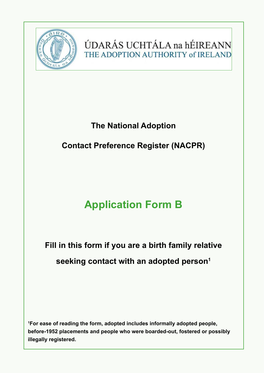

ÚDARÁS UCHTÁLA na hÉIREANN THE ADOPTION AUTHORITY of IRELAND

## **The National Adoption**

## **Contact Preference Register (NACPR)**

# **Application Form B**

**Fill in this form if you are a birth family relative seeking contact with an adopted person1**

**1 For ease of reading the form, adopted includes informally adopted people, before-1952 placements and people who were boarded-out, fostered or possibly illegally registered.**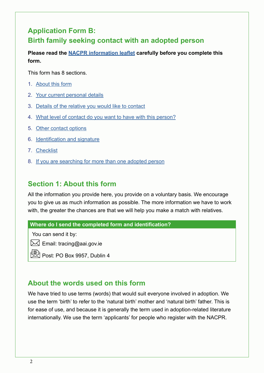## **Application Form B: Birth family seeking contact with an adopted person**

**Please read the [NACPR information leaflet](https://aai.gov.ie/images/PDFs/The_National_Adoption_Contact_Preference_Register_Information_Leaflet.pdf  ) carefully before you complete this form.**

This form has 8 sections.

- 1. About this form
- 2. [Your current personal details](#page-4-0)
- 3. [Details of the relative you would like to contact](#page-6-0)
- 4. [What level of contact do you want to have with this person?](#page-7-0)
- 5. [Other contact options](#page-8-0)
- 6. [Identification and signature](#page-9-0)
- 7. [Checklist](#page-9-0)
- 8. [If you are searching for more than one adopted person](#page-10-0)

## **Section 1: About this form**

All the information you provide here, you provide on a voluntary basis. We encourage you to give us as much information as possible. The more information we have to work with, the greater the chances are that we will help you make a match with relatives.

**Where do I send the completed form and identification?**

You can send it by:

 $\boxtimes$  Email: tracing@aai.gov.ie

Post: PO Box 9957, Dublin 4

## **About the words used on this form**

We have tried to use terms (words) that would suit everyone involved in adoption. We use the term 'birth' to refer to the 'natural birth' mother and 'natural birth' father. This is for ease of use, and because it is generally the term used in adoption-related literature internationally. We use the term 'applicants' for people who register with the NACPR.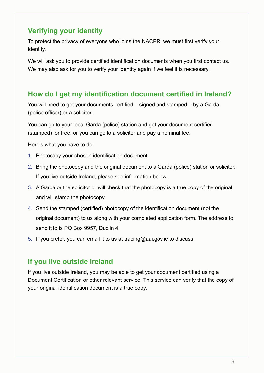## **Verifying your identity**

To protect the privacy of everyone who joins the NACPR, we must first verify your identity.

We will ask you to provide certified identification documents when you first contact us. We may also ask for you to verify your identity again if we feel it is necessary.

## **How do I get my identification document certified in Ireland?**

You will need to get your documents certified – signed and stamped – by a Garda (police officer) or a solicitor.

You can go to your local Garda (police) station and get your document certified (stamped) for free, or you can go to a solicitor and pay a nominal fee.

Here's what you have to do:

- 1. Photocopy your chosen identification document.
- 2. Bring the photocopy and the original document to a Garda (police) station or solicitor. If you live outside Ireland, please see information below.
- 3. A Garda or the solicitor or will check that the photocopy is a true copy of the original and will stamp the photocopy.
- 4. Send the stamped (certified) photocopy of the identification document (not the original document) to us along with your completed application form. The address to send it to is PO Box 9957, Dublin 4.
- 5. If you prefer, you can email it to us at tracing@aai.gov.ie to discuss.

## **If you live outside Ireland**

If you live outside Ireland, you may be able to get your document certified using a Document Certification or other relevant service. This service can verify that the copy of your original identification document is a true copy.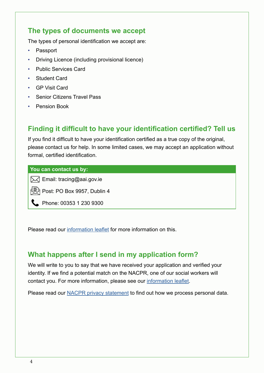## **The types of documents we accept**

The types of personal identification we accept are:

- Passport
- Driving Licence (including provisional licence)
- Public Services Card
- Student Card
- GP Visit Card
- Senior Citizens Travel Pass
- Pension Book

## **Finding it difficult to have your identification certified? Tell us**

If you find it difficult to have your identification certified as a true copy of the original, please contact us for help. In some limited cases, we may accept an application without formal, certified identification.

#### **You can contact us by:**

 $\boxtimes$  Email: tracing@aai.gov.ie

Post: PO Box 9957, Dublin 4

Phone: 00353 1 230 9300

Please read our [information leaflet](https://aai.gov.ie/images/PDFs/The_National_Adoption_Contact_Preference_Register_Information_Leaflet.pdf  ) for more information on this.

## **What happens after I send in my application form?**

We will write to you to say that we have received your application and verified your identity. If we find a potential match on the NACPR, one of our social workers will contact you. For more information, please see our [information leaflet](https://aai.gov.ie/images/PDFs/The_National_Adoption_Contact_Preference_Register_Information_Leaflet.pdf  ).

Please read our [NACPR privacy statement](https://aai.gov.ie/images/PDFs/The_National_Adoption_Contact_Preference_Register_Data_Privacy_Statement.pdf  ) to find out how we process personal data.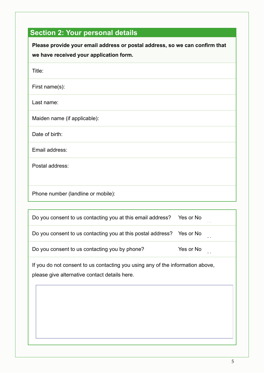## <span id="page-4-0"></span>**Section 2: Your personal details**

| Please provide your email address or postal address, so we can confirm that<br>we have received your application form. |
|------------------------------------------------------------------------------------------------------------------------|
| Title:                                                                                                                 |
| First name(s):                                                                                                         |
| Last name:                                                                                                             |
| Maiden name (if applicable):                                                                                           |
| Date of birth:                                                                                                         |
| Email address:                                                                                                         |
| Postal address:                                                                                                        |
| Phone number (landline or mobile):                                                                                     |

| Do you consent to us contacting you at this email address?  | Yes or No<br>- - |
|-------------------------------------------------------------|------------------|
| Do you consent to us contacting you at this postal address? | Yes or No        |
| Do you consent to us contacting you by phone?               | Yes or No        |

If you do not consent to us contacting you using any of the information above, please give alternative contact details here.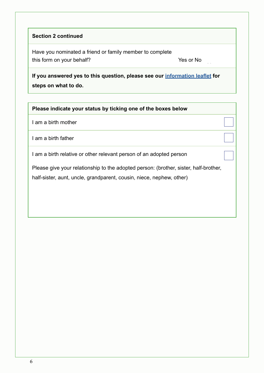#### **Section 2 continued**

Have you nominated a friend or family member to complete this form on your behalf? Yes or No

Yes No

**If you answered yes to this question, please see our [information leaflet](https://aai.gov.ie/images/PDFs/The_National_Adoption_Contact_Preference_Register_Information_Leaflet.pdf ) for steps on what to do.**

**Please indicate your status by ticking one of the boxes below**

I am a birth mother

I am a birth father

I am a birth relative or other relevant person of an adopted person

Please give your relationship to the adopted person: (brother, sister, half-brother, half-sister, aunt, uncle, grandparent, cousin, niece, nephew, other)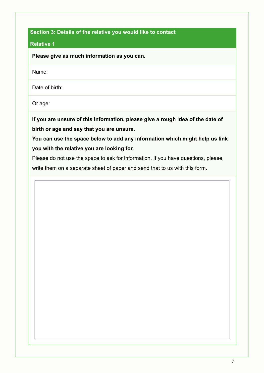#### <span id="page-6-0"></span>**Section 3: Details of the relative you would like to contact**

#### **Relative 1**

**Please give as much information as you can.**

Name:

Date of birth:

Or age:

**If you are unsure of this information, please give a rough idea of the date of birth or age and say that you are unsure.**

**You can use the space below to add any information which might help us link you with the relative you are looking for.**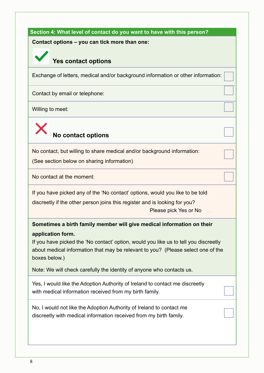#### <span id="page-7-0"></span>**Section 4: What level of contact do you want to have with this person?**

#### **Contact options – you can tick more than one:**

## **Yes contact options**

Exchange of letters, medical and/or background information or other information:

Contact by email or telephone:

Willing to meet:



No contact, but willing to share medical and/or background information:

(See section below on sharing information)

No contact at the moment:

If you have picked any of the 'No contact' options, would you like to be told

discreetly if the other person joins this register and is looking for you?

Please pick Yes or No Yes No

**Sometimes a birth family member will give medical information on their application form.**

If you have picked the 'No contact' option, would you like us to tell you discreetly about medical information that may be relevant to you? (Please select one of the boxes below.)

Note: We will check carefully the identity of anyone who contacts us.

Yes, I would like the Adoption Authority of Ireland to contact me discreetly with medical information received from my birth family.

No, I would not like the Adoption Authority of Ireland to contact me discreetly with medical information received from my birth family.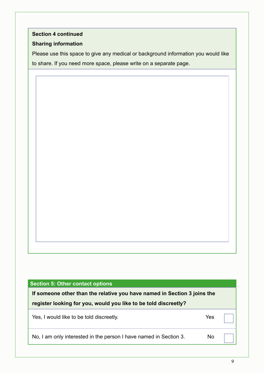#### <span id="page-8-0"></span>**Section 4 continued**

#### **Sharing information**

Please use this space to give any medical or background information you would like to share. If you need more space, please write on a separate page.

#### **Section 5: Other contact options**

**If someone other than the relative you have named in Section 3 joins the register looking for you, would you like to be told discreetly?** 

Yes, I would like to be told discreetly. Yes

No, I am only interested in the person I have named in Section 3. No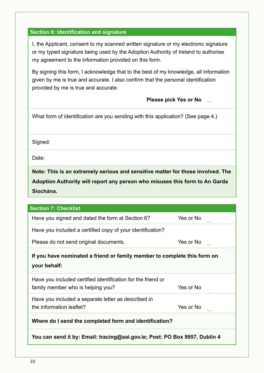#### <span id="page-9-0"></span>**Section 6: Identification and signature**

I, the Applicant, consent to my scanned written signature or my electronic signature or my typed signature being used by the Adoption Authority of Ireland to authorise my agreement to the information provided on this form.

By signing this form, I acknowledge that to the best of my knowledge, all information given by me is true and accurate. I also confirm that the personal identification provided by me is true and accurate.

**Please pick Yes or No**

| What form of identification are you sending with this application? (See page 4.)                                                                                            |           |  |
|-----------------------------------------------------------------------------------------------------------------------------------------------------------------------------|-----------|--|
| Signed:                                                                                                                                                                     |           |  |
| Date:                                                                                                                                                                       |           |  |
| Note: This is an extremely serious and sensitive matter for those involved. The<br>Adoption Authority will report any person who misuses this form to An Garda<br>Síochána. |           |  |
| <b>Section 7: Checklist</b>                                                                                                                                                 |           |  |
| Have you signed and dated the form at Section 6?                                                                                                                            | Yes or No |  |
| Have you included a certified copy of your identification?                                                                                                                  |           |  |
| Please do not send original documents.                                                                                                                                      | Yes or No |  |
| If you have nominated a friend or family member to complete this form on<br>your behalf:                                                                                    |           |  |
| Have you included certified identification for the friend or<br>family member who is helping you?                                                                           | Yes or No |  |
| Have you included a separate letter as described in<br>the information leaflet?                                                                                             | Yes or No |  |
| Where do I send the completed form and identification?                                                                                                                      |           |  |
| You can send it by: Email: tracing@aai.gov.ie; Post: PO Box 9957, Dublin 4                                                                                                  |           |  |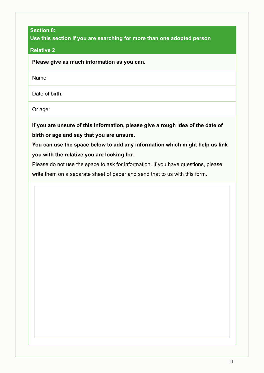#### <span id="page-10-0"></span>**Section 8:**

**Use this section if you are searching for more than one adopted person**

#### **Relative 2**

**Please give as much information as you can.**

Name:

Date of birth:

Or age:

**If you are unsure of this information, please give a rough idea of the date of birth or age and say that you are unsure.**

**You can use the space below to add any information which might help us link you with the relative you are looking for.**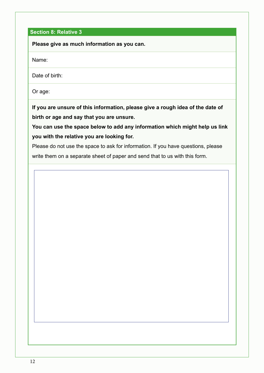#### **Section 8: Relative 3**

**Please give as much information as you can.**

Name:

Date of birth:

Or age:

**If you are unsure of this information, please give a rough idea of the date of birth or age and say that you are unsure.**

**You can use the space below to add any information which might help us link you with the relative you are looking for.**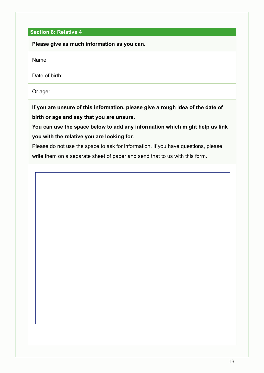#### **Section 8: Relative 4**

**Please give as much information as you can.**

Name:

Date of birth:

Or age:

**If you are unsure of this information, please give a rough idea of the date of birth or age and say that you are unsure.**

**You can use the space below to add any information which might help us link you with the relative you are looking for.**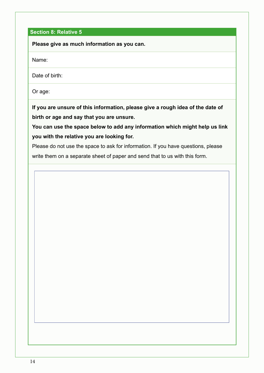#### **Section 8: Relative 5**

**Please give as much information as you can.**

Name:

Date of birth:

Or age:

**If you are unsure of this information, please give a rough idea of the date of birth or age and say that you are unsure.**

**You can use the space below to add any information which might help us link you with the relative you are looking for.**